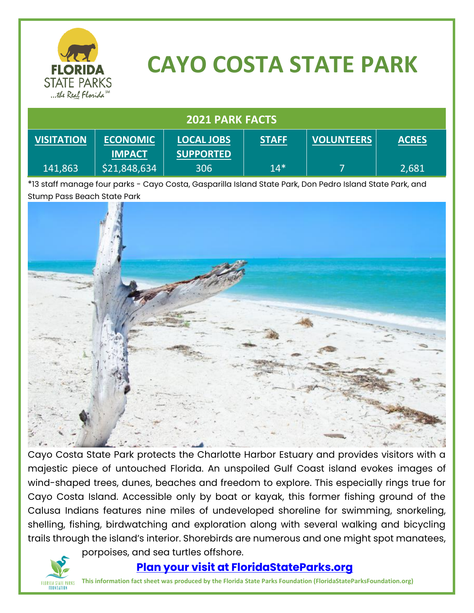

# **CAYO COSTA STATE PARK**

#### **2021 PARK FACTS VISITATION** 141,863 **ECONOMIC IMPACT** \$21,848,634 **LOCAL JOBS SUPPORTED** 306 **STAFF** 14\* **VOLUNTEERS** 7 **ACRES** 2,681

\*13 staff manage four parks - Cayo Costa, Gasparilla Island State Park, Don Pedro Island State Park, and Stump Pass Beach State Park



Cayo Costa State Park protects the Charlotte Harbor Estuary and provides visitors with a majestic piece of untouched Florida. An unspoiled Gulf Coast island evokes images of wind-shaped trees, dunes, beaches and freedom to explore. This especially rings true for Cayo Costa Island. Accessible only by boat or kayak, this former fishing ground of the Calusa Indians features nine miles of undeveloped shoreline for swimming, snorkeling, shelling, fishing, birdwatching and exploration along with several walking and bicycling trails through the island's interior. Shorebirds are numerous and one might spot manatees,



porpoises, and sea turtles offshore.

#### **[Plan your visit at FloridaStateParks.org](http://www.floridastateparks.org/)**

**This information fact sheet was produced by the Florida State Parks Foundation (FloridaStateParksFoundation.org)**